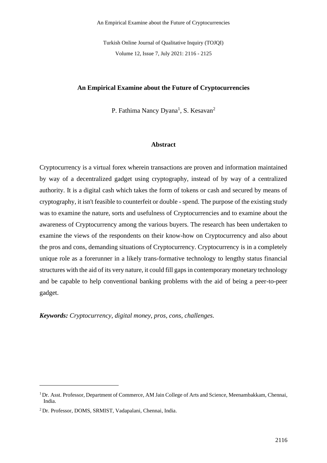An Empirical Examine about the Future of Cryptocurrencies

Turkish Online Journal of Qualitative Inquiry (TOJQI) Volume 12, Issue 7, July 2021: 2116 - 2125

### **An Empirical Examine about the Future of Cryptocurrencies**

P. Fathima Nancy Dyana<sup>1</sup>, S. Kesavan<sup>2</sup>

#### **Abstract**

Cryptocurrency is a virtual forex wherein transactions are proven and information maintained by way of a decentralized gadget using cryptography, instead of by way of a centralized authority. It is a digital cash which takes the form of tokens or cash and secured by means of cryptography, it isn't feasible to counterfeit or double - spend. The purpose of the existing study was to examine the nature, sorts and usefulness of Cryptocurrencies and to examine about the awareness of Cryptocurrency among the various buyers. The research has been undertaken to examine the views of the respondents on their know-how on Cryptocurrency and also about the pros and cons, demanding situations of Cryptocurrency. Cryptocurrency is in a completely unique role as a forerunner in a likely trans-formative technology to lengthy status financial structures with the aid of its very nature, it could fill gaps in contemporary monetary technology and be capable to help conventional banking problems with the aid of being a peer-to-peer gadget.

*Keywords: Cryptocurrency, digital money, pros, cons, challenges.*

<sup>&</sup>lt;sup>1</sup> Dr. Asst. Professor, Department of Commerce, AM Jain College of Arts and Science, Meenambakkam, Chennai, India.

<sup>2</sup> Dr. Professor, DOMS, SRMIST, Vadapalani, Chennai, India.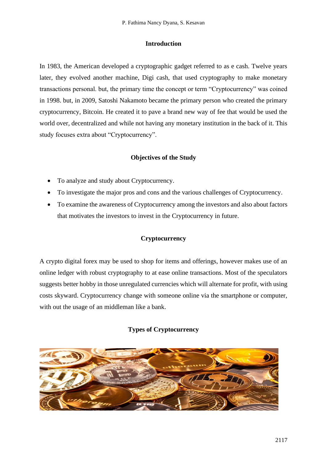## **Introduction**

In 1983, the American developed a cryptographic gadget referred to as e cash. Twelve years later, they evolved another machine, Digi cash, that used cryptography to make monetary transactions personal. but, the primary time the concept or term "Cryptocurrency" was coined in 1998. but, in 2009, Satoshi Nakamoto became the primary person who created the primary cryptocurrency, Bitcoin. He created it to pave a brand new way of fee that would be used the world over, decentralized and while not having any monetary institution in the back of it. This study focuses extra about "Cryptocurrency".

# **Objectives of the Study**

- To analyze and study about Cryptocurrency.
- To investigate the major pros and cons and the various challenges of Cryptocurrency.
- To examine the awareness of Cryptocurrency among the investors and also about factors that motivates the investors to invest in the Cryptocurrency in future.

# **Cryptocurrency**

A crypto digital forex may be used to shop for items and offerings, however makes use of an online ledger with robust cryptography to at ease online transactions. Most of the speculators suggests better hobby in those unregulated currencies which will alternate for profit, with using costs skyward. Cryptocurrency change with someone online via the smartphone or computer, with out the usage of an middleman like a bank.

# **Types of Cryptocurrency**

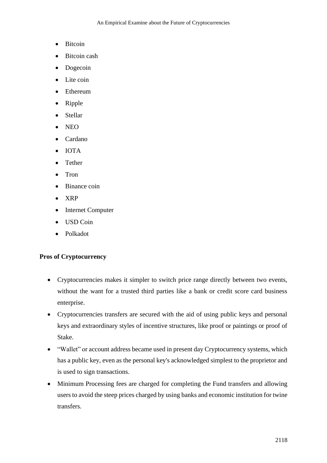- Bitcoin
- Bitcoin cash
- Dogecoin
- Lite coin
- Ethereum
- Ripple
- Stellar
- NEO
- Cardano
- IOTA
- Tether
- Tron
- Binance coin
- XRP
- Internet Computer
- USD Coin
- Polkadot

## **Pros of Cryptocurrency**

- Cryptocurrencies makes it simpler to switch price range directly between two events, without the want for a trusted third parties like a bank or credit score card business enterprise.
- Cryptocurrencies transfers are secured with the aid of using public keys and personal keys and extraordinary styles of incentive structures, like proof or paintings or proof of Stake.
- "Wallet" or account address became used in present day Cryptocurrency systems, which has a public key, even as the personal key's acknowledged simplest to the proprietor and is used to sign transactions.
- Minimum Processing fees are charged for completing the Fund transfers and allowing users to avoid the steep prices charged by using banks and economic institution for twine transfers.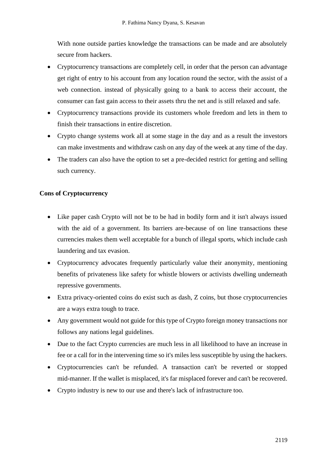With none outside parties knowledge the transactions can be made and are absolutely secure from hackers.

- Cryptocurrency transactions are completely cell, in order that the person can advantage get right of entry to his account from any location round the sector, with the assist of a web connection. instead of physically going to a bank to access their account, the consumer can fast gain access to their assets thru the net and is still relaxed and safe.
- Cryptocurrency transactions provide its customers whole freedom and lets in them to finish their transactions in entire discretion.
- Crypto change systems work all at some stage in the day and as a result the investors can make investments and withdraw cash on any day of the week at any time of the day.
- The traders can also have the option to set a pre-decided restrict for getting and selling such currency.

## **Cons of Cryptocurrency**

- Like paper cash Crypto will not be to be had in bodily form and it isn't always issued with the aid of a government. Its barriers are-because of on line transactions these currencies makes them well acceptable for a bunch of illegal sports, which include cash laundering and tax evasion.
- Cryptocurrency advocates frequently particularly value their anonymity, mentioning benefits of privateness like safety for whistle blowers or activists dwelling underneath repressive governments.
- Extra privacy-oriented coins do exist such as dash, Z coins, but those cryptocurrencies are a ways extra tough to trace.
- Any government would not guide for this type of Crypto foreign money transactions nor follows any nations legal guidelines.
- Due to the fact Crypto currencies are much less in all likelihood to have an increase in fee or a call for in the intervening time so it's miles less susceptible by using the hackers.
- Cryptocurrencies can't be refunded. A transaction can't be reverted or stopped mid-manner. If the wallet is misplaced, it's far misplaced forever and can't be recovered.
- Crypto industry is new to our use and there's lack of infrastructure too.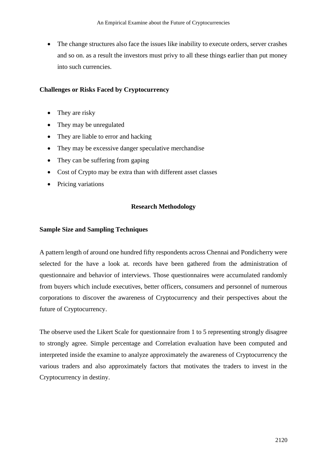• The change structures also face the issues like inability to execute orders, server crashes and so on. as a result the investors must privy to all these things earlier than put money into such currencies.

### **Challenges or Risks Faced by Cryptocurrency**

- They are risky
- They may be unregulated
- They are liable to error and hacking
- They may be excessive danger speculative merchandise
- They can be suffering from gaping
- Cost of Crypto may be extra than with different asset classes
- Pricing variations

## **Research Methodology**

### **Sample Size and Sampling Techniques**

A pattern length of around one hundred fifty respondents across Chennai and Pondicherry were selected for the have a look at. records have been gathered from the administration of questionnaire and behavior of interviews. Those questionnaires were accumulated randomly from buyers which include executives, better officers, consumers and personnel of numerous corporations to discover the awareness of Cryptocurrency and their perspectives about the future of Cryptocurrency.

The observe used the Likert Scale for questionnaire from 1 to 5 representing strongly disagree to strongly agree. Simple percentage and Correlation evaluation have been computed and interpreted inside the examine to analyze approximately the awareness of Cryptocurrency the various traders and also approximately factors that motivates the traders to invest in the Cryptocurrency in destiny.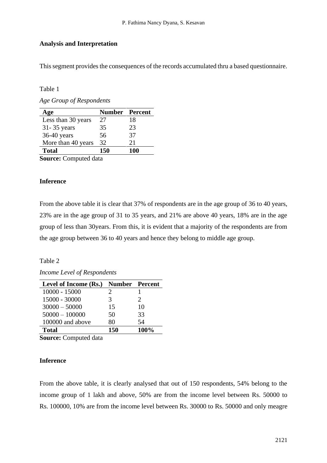## **Analysis and Interpretation**

This segment provides the consequences of the records accumulated thru a based questionnaire.

Table 1

*Age Group of Respondents*

| Age                   | <b>Number Percent</b> |     |  |  |  |
|-----------------------|-----------------------|-----|--|--|--|
| Less than 30 years    | 27                    | 18  |  |  |  |
| 31-35 years           | 35                    | 23  |  |  |  |
| 36-40 years           | 56                    | 37  |  |  |  |
| More than 40 years    | 32                    | 21  |  |  |  |
| <b>Total</b>          | 150                   | 100 |  |  |  |
| 1. 1 . 1 . <i>.</i> . |                       |     |  |  |  |

**Source:** Computed data

## **Inference**

From the above table it is clear that 37% of respondents are in the age group of 36 to 40 years, 23% are in the age group of 31 to 35 years, and 21% are above 40 years, 18% are in the age group of less than 30years. From this, it is evident that a majority of the respondents are from the age group between 36 to 40 years and hence they belong to middle age group.

### Table 2

*Income Level of Respondents*

| Level of Income (Rs.) | <b>Number Percent</b> |                             |
|-----------------------|-----------------------|-----------------------------|
| $10000 - 15000$       | 2.                    |                             |
| 15000 - 30000         | 3                     | $\mathcal{D}_{\mathcal{L}}$ |
| $30000 - 50000$       | 15                    | 10                          |
| $50000 - 100000$      | 50                    | 33                          |
| 100000 and above      | 80                    | 54                          |
| <b>Total</b>          | 150                   | 100%                        |
| $\sim$                |                       |                             |

**Source:** Computed data

## **Inference**

From the above table, it is clearly analysed that out of 150 respondents, 54% belong to the income group of 1 lakh and above, 50% are from the income level between Rs. 50000 to Rs. 100000, 10% are from the income level between Rs. 30000 to Rs. 50000 and only meagre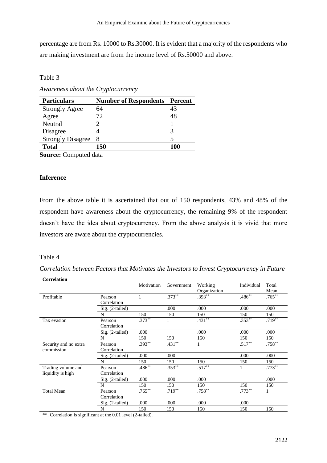percentage are from Rs. 10000 to Rs.30000. It is evident that a majority of the respondents who are making investment are from the income level of Rs.50000 and above.

Table 3

*Awareness about the Cryptocurrency*

| <b>Particulars</b>                                                | <b>Number of Respondents Percent</b> |     |  |  |  |
|-------------------------------------------------------------------|--------------------------------------|-----|--|--|--|
| <b>Strongly Agree</b>                                             | 64                                   | 43  |  |  |  |
| Agree                                                             | 72.                                  | 48  |  |  |  |
| Neutral                                                           |                                      |     |  |  |  |
| Disagree                                                          |                                      |     |  |  |  |
| <b>Strongly Disagree</b>                                          | 8                                    |     |  |  |  |
| <b>Total</b>                                                      | 150                                  | 100 |  |  |  |
| $\mathcal{C}_{\text{oumon}}$ $\mathcal{C}_{\text{commutad}}$ data |                                      |     |  |  |  |

**Source:** Computed data

## **Inference**

From the above table it is ascertained that out of 150 respondents, 43% and 48% of the respondent have awareness about the cryptocurrency, the remaining 9% of the respondent doesn't have the idea about cryptocurrency. From the above analysis it is vivid that more investors are aware about the cryptocurrencies.

#### Table 4

*Correlation between Factors that Motivates the Investors to Invest Cryptocurrency in Future* **Correlation**

| Correlation           |                   |            |            |              |            |           |
|-----------------------|-------------------|------------|------------|--------------|------------|-----------|
|                       |                   | Motivation | Government | Working      | Individual | Total     |
|                       |                   |            |            | Organization |            | Mean      |
| Profitable            | Pearson           | 1          | $.373**$   | $.393**$     | $.486**$   | $.765***$ |
|                       | Correlation       |            |            |              |            |           |
|                       | Sig. (2-tailed)   |            | .000       | .000         | .000       | .000      |
|                       | N                 | 150        | 150        | 150          | 150        | 150       |
| Tax evasion           | Pearson           | $.373***$  |            | $.431***$    | $.353**$   | $.719***$ |
|                       | Correlation       |            |            |              |            |           |
|                       | $Sig. (2-tailed)$ | .000       |            | .000         | .000       | .000      |
|                       | N                 | 150        | 150        | 150          | 150        | 150       |
| Security and no extra | Pearson           | $.393**$   | $.431**$   |              | $.517***$  | $.758***$ |
| commission            | Correlation       |            |            |              |            |           |
|                       | Sig. (2-tailed)   | .000       | .000       |              | .000       | .000      |
|                       | N                 | 150        | 150        | 150          | 150        | 150       |
| Trading volume and    | Pearson           | $.486***$  | $.353**$   | $.517***$    | 1          | $.773**$  |
| liquidity is high     | Correlation       |            |            |              |            |           |
|                       | $Sig. (2-tailed)$ | .000       | .000       | .000         |            | .000      |
|                       | N                 | 150        | 150        | 150          | 150        | 150       |
| <b>Total Mean</b>     | Pearson           | $.765***$  | $.719**$   | $.758***$    | $.773***$  | 1         |
|                       | Correlation       |            |            |              |            |           |
|                       | Sig. (2-tailed)   | .000       | .000       | .000         | .000       |           |
|                       | N                 | 150        | 150        | 150          | 150        | 150       |
|                       |                   |            |            |              |            |           |

\*\*. Correlation is significant at the 0.01 level (2-tailed).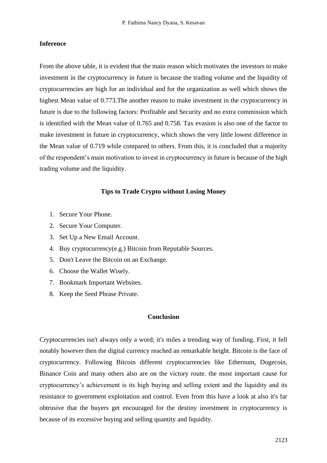### **Inference**

From the above table, it is evident that the main reason which motivates the investors to make investment in the cryptocurrency in future is because the trading volume and the liquidity of cryptocurrencies are high for an individual and for the organization as well which shows the highest Mean value of 0.773.The another reason to make investment in the cryptocurrency in future is due to the following factors: Profitable and Security and no extra commission which is identified with the Mean value of 0.765 and 0.758. Tax evasion is also one of the factor to make investment in future in cryptocurrency, which shows the very little lowest difference in the Mean value of 0.719 while compared to others. From this, it is concluded that a majority of the respondent's main motivation to invest in cryptocurrency in future is because of the high trading volume and the liquidity.

### **Tips to Trade Crypto without Losing Money**

- 1. Secure Your Phone.
- 2. Secure Your Computer.
- 3. Set Up a New Email Account.
- 4. Buy cryptocurrency(e.g.) Bitcoin from Reputable Sources.
- 5. Don't Leave the Bitcoin on an Exchange.
- 6. Choose the Wallet Wisely.
- 7. Bookmark Important Websites.
- 8. Keep the Seed Phrase Private.

## **Conclusion**

Cryptocurrencies isn't always only a word; it's miles a trending way of funding. First, it fell notably however then the digital currency reached an remarkable height. Bitcoin is the face of cryptocurrency. Following Bitcoin different cryptocurrencies like Ethernum, Dogecoin, Binance Coin and many others also are on the victory route. the most important cause for cryptocurrency's achievement is its high buying and selling extent and the liquidity and its resistance to government exploitation and control. Even from this have a look at also it's far obtrusive that the buyers get encouraged for the destiny investment in cryptocurrency is because of its excessive buying and selling quantity and liquidity.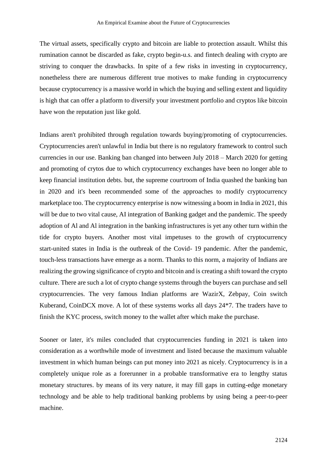The virtual assets, specifically crypto and bitcoin are liable to protection assault. Whilst this rumination cannot be discarded as fake, crypto begin-u.s. and fintech dealing with crypto are striving to conquer the drawbacks. In spite of a few risks in investing in cryptocurrency, nonetheless there are numerous different true motives to make funding in cryptocurrency because cryptocurrency is a massive world in which the buying and selling extent and liquidity is high that can offer a platform to diversify your investment portfolio and cryptos like bitcoin have won the reputation just like gold.

Indians aren't prohibited through regulation towards buying/promoting of cryptocurrencies. Cryptocurrencies aren't unlawful in India but there is no regulatory framework to control such currencies in our use. Banking ban changed into between July 2018 – March 2020 for getting and promoting of crytos due to which cryptocurrency exchanges have been no longer able to keep financial institution debts. but, the supreme courtroom of India quashed the banking ban in 2020 and it's been recommended some of the approaches to modify cryptocurrency marketplace too. The cryptocurrency enterprise is now witnessing a boom in India in 2021, this will be due to two vital cause, AI integration of Banking gadget and the pandemic. The speedy adoption of Al and Al integration in the banking infrastructures is yet any other turn within the tide for crypto buyers. Another most vital impetuses to the growth of cryptocurrency start-united states in India is the outbreak of the Covid- 19 pandemic. After the pandemic, touch-less transactions have emerge as a norm. Thanks to this norm, a majority of Indians are realizing the growing significance of crypto and bitcoin and is creating a shift toward the crypto culture. There are such a lot of crypto change systems through the buyers can purchase and sell cryptocurrencies. The very famous Indian platforms are WazirX, Zebpay, Coin switch Kuberand, CoinDCX move. A lot of these systems works all days 24\*7. The traders have to finish the KYC process, switch money to the wallet after which make the purchase.

Sooner or later, it's miles concluded that cryptocurrencies funding in 2021 is taken into consideration as a worthwhile mode of investment and listed because the maximum valuable investment in which human beings can put money into 2021 as nicely. Cryptocurrency is in a completely unique role as a forerunner in a probable transformative era to lengthy status monetary structures. by means of its very nature, it may fill gaps in cutting-edge monetary technology and be able to help traditional banking problems by using being a peer-to-peer machine.